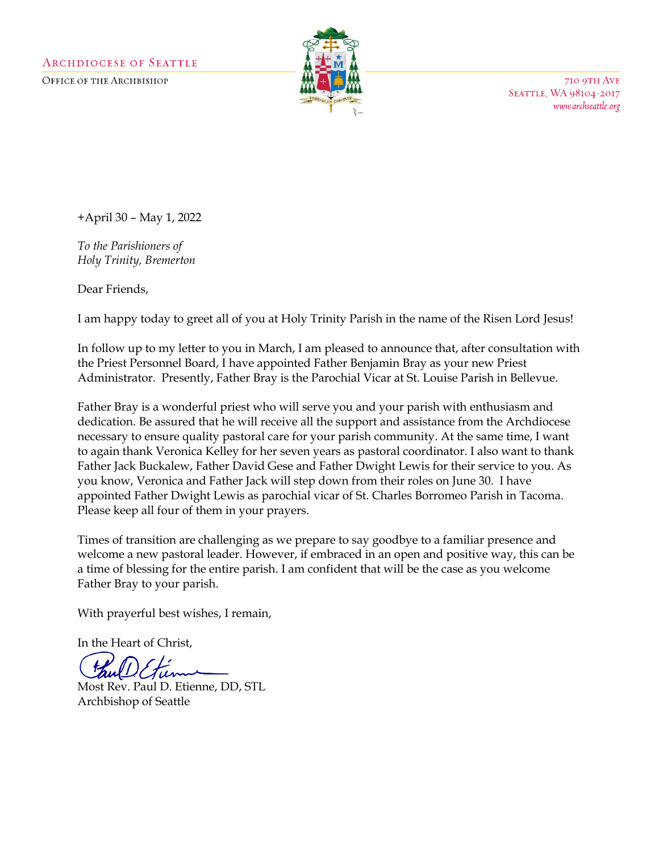OFFICE OF THE ARCHBISHOP



710 9TH AVE SEATTLE, WA 98104-2017 www.archseattle.org

+April 30 – May 1, 2022

*To the Parishioners of Holy Trinity, Bremerton*

Dear Friends,

I am happy today to greet all of you at Holy Trinity Parish in the name of the Risen Lord Jesus!

In follow up to my letter to you in March, I am pleased to announce that, after consultation with the Priest Personnel Board, I have appointed Father Benjamin Bray as your new Priest Administrator. Presently, Father Bray is the Parochial Vicar at St. Louise Parish in Bellevue.

Father Bray is a wonderful priest who will serve you and your parish with enthusiasm and dedication. Be assured that he will receive all the support and assistance from the Archdiocese necessary to ensure quality pastoral care for your parish community. At the same time, I want to again thank Veronica Kelley for her seven years as pastoral coordinator. I also want to thank Father Jack Buckalew, Father David Gese and Father Dwight Lewis for their service to you. As you know, Veronica and Father Jack will step down from their roles on June 30. I have appointed Father Dwight Lewis as parochial vicar of St. Charles Borromeo Parish in Tacoma. Please keep all four of them in your prayers.

Times of transition are challenging as we prepare to say goodbye to a familiar presence and welcome a new pastoral leader. However, if embraced in an open and positive way, this can be a time of blessing for the entire parish. I am confident that will be the case as you welcome Father Bray to your parish.

With prayerful best wishes, I remain,

In the Heart of Christ,

w

Most Rev. Paul D. Etienne, DD, STL Archbishop of Seattle